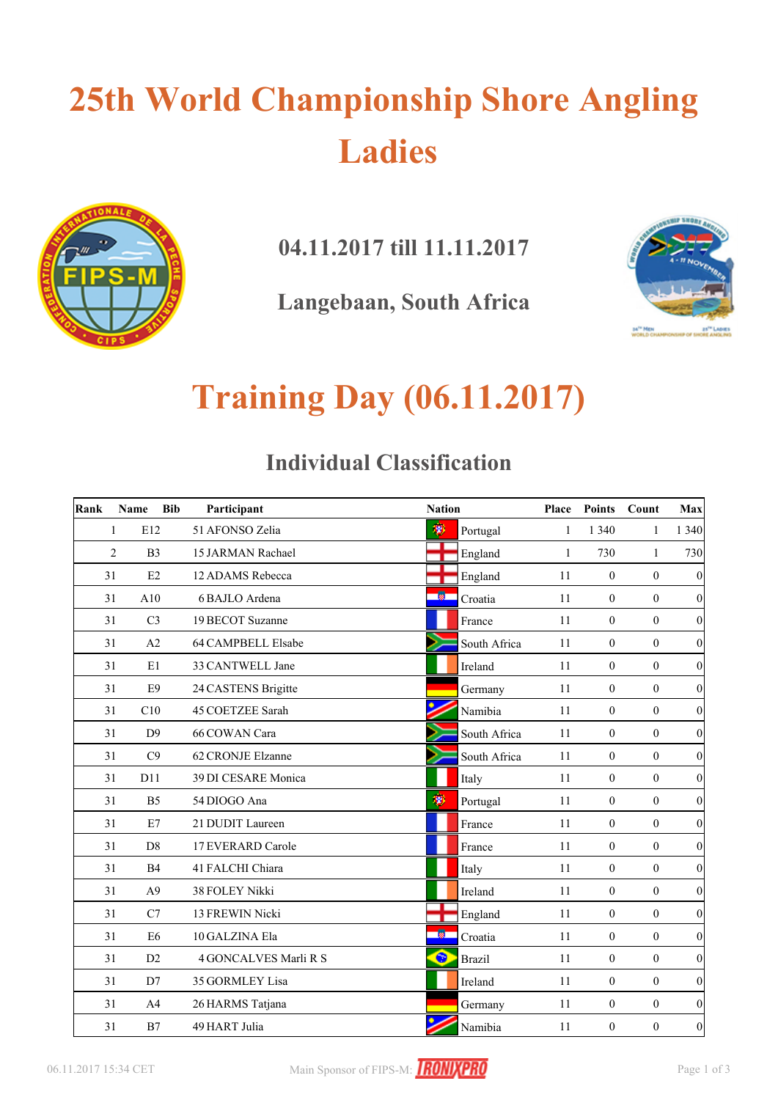## **25th World Championship Shore Angling Ladies**



**04.11.2017 till 11.11.2017**

**Langebaan, South Africa**



## **Training Day (06.11.2017)**

### **Individual Classification**

| Rank | Name                | <b>Bib</b> | Participant           | <b>Nation</b> |               | Place | <b>Points</b>    | Count            | Max              |
|------|---------------------|------------|-----------------------|---------------|---------------|-------|------------------|------------------|------------------|
|      | E12<br>1            |            | 51 AFONSO Zelia       | 渺             | Portugal      | 1     | 1 3 4 0          | $\mathbf{1}$     | 1 3 4 0          |
|      | 2<br>B <sub>3</sub> |            | 15 JARMAN Rachael     |               | England       | 1     | 730              | $\mathbf{1}$     | 730              |
| 31   | E2                  |            | 12 ADAMS Rebecca      |               | England       | 11    | $\boldsymbol{0}$ | $\overline{0}$   | $\boldsymbol{0}$ |
| 31   | A10                 |            | 6 BAJLO Ardena        | -80           | Croatia       | 11    | $\boldsymbol{0}$ | $\mathbf{0}$     | $\boldsymbol{0}$ |
| 31   | C <sub>3</sub>      |            | 19 BECOT Suzanne      |               | France        | 11    | $\mathbf{0}$     | $\overline{0}$   | 0                |
| 31   | A2                  |            | 64 CAMPBELL Elsabe    |               | South Africa  | 11    | $\boldsymbol{0}$ | $\boldsymbol{0}$ | 0                |
| 31   | E1                  |            | 33 CANTWELL Jane      |               | Ireland       | 11    | $\boldsymbol{0}$ | $\boldsymbol{0}$ | 0                |
| 31   | E <sub>9</sub>      |            | 24 CASTENS Brigitte   |               | Germany       | 11    | $\mathbf{0}$     | $\overline{0}$   | $\boldsymbol{0}$ |
| 31   | C10                 |            | 45 COETZEE Sarah      |               | Namibia       | 11    | $\mathbf{0}$     | $\overline{0}$   | $\boldsymbol{0}$ |
| 31   | D <sup>9</sup>      |            | 66 COWAN Cara         |               | South Africa  | 11    | $\boldsymbol{0}$ | $\mathbf{0}$     | $\boldsymbol{0}$ |
| 31   | C9                  |            | 62 CRONJE Elzanne     |               | South Africa  | 11    | $\boldsymbol{0}$ | $\mathbf{0}$     | 0                |
| 31   | D11                 |            | 39 DI CESARE Monica   |               | Italy         | 11    | $\mathbf{0}$     | $\overline{0}$   | 0                |
| 31   | B <sub>5</sub>      |            | 54 DIOGO Ana          | 萝             | Portugal      | 11    | $\boldsymbol{0}$ | $\mathbf{0}$     | $\boldsymbol{0}$ |
| 31   | E7                  |            | 21 DUDIT Laureen      |               | France        | 11    | $\boldsymbol{0}$ | $\boldsymbol{0}$ | 0                |
| 31   | D <sub>8</sub>      |            | 17 EVERARD Carole     |               | France        | 11    | $\mathbf{0}$     | $\overline{0}$   | $\boldsymbol{0}$ |
| 31   | B4                  |            | 41 FALCHI Chiara      |               | Italy         | 11    | $\boldsymbol{0}$ | $\theta$         | $\boldsymbol{0}$ |
| 31   | A <sub>9</sub>      |            | 38 FOLEY Nikki        |               | Ireland       | 11    | $\mathbf{0}$     | $\mathbf{0}$     | $\boldsymbol{0}$ |
| 31   | C7                  |            | 13 FREWIN Nicki       |               | England       | 11    | $\boldsymbol{0}$ | $\mathbf{0}$     | 0                |
| 31   | E <sub>6</sub>      |            | 10 GALZINA Ela        | ∙66           | Croatia       | 11    | $\boldsymbol{0}$ | $\mathbf{0}$     | 0                |
| 31   | D2                  |            | 4 GONCALVES Marli R S | $\bullet$     | <b>Brazil</b> | 11    | $\boldsymbol{0}$ | $\overline{0}$   | $\boldsymbol{0}$ |
| 31   | D7                  |            | 35 GORMLEY Lisa       |               | Ireland       | 11    | $\boldsymbol{0}$ | $\overline{0}$   | 0                |
| 31   | A <sub>4</sub>      |            | 26 HARMS Tatjana      |               | Germany       | 11    | $\mathbf{0}$     | $\overline{0}$   | $\boldsymbol{0}$ |
| 31   | B7                  |            | 49 HART Julia         |               | Namibia       | 11    | $\boldsymbol{0}$ | $\overline{0}$   | $\boldsymbol{0}$ |

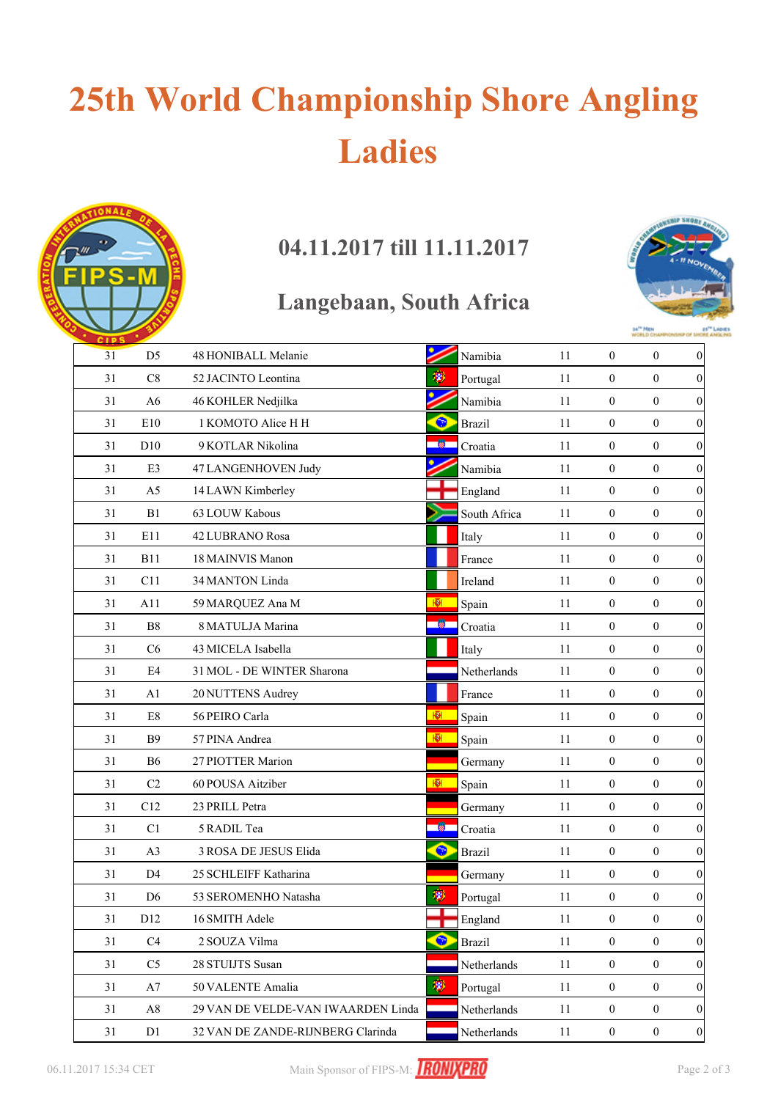# **25th World Championship Shore Angling Ladies**

### **04.11.2017 till 11.11.2017**

### **Langebaan, South Africa**



| <b>CIPS</b> |                 |                                    |           |               |    |                  |                  |                  |
|-------------|-----------------|------------------------------------|-----------|---------------|----|------------------|------------------|------------------|
| 31          | D <sub>5</sub>  | 48 HONIBALL Melanie                |           | Namibia       | 11 | $\boldsymbol{0}$ | $\boldsymbol{0}$ | 0                |
| 31          | C8              | 52 JACINTO Leontina                | 粵         | Portugal      | 11 | $\boldsymbol{0}$ | $\mathbf{0}$     | $\boldsymbol{0}$ |
| 31          | A <sub>6</sub>  | 46 KOHLER Nedjilka                 |           | Namibia       | 11 | $\boldsymbol{0}$ | $\overline{0}$   | $\boldsymbol{0}$ |
| 31          | E10             | 1 KOMOTO Alice H H                 | ●         | <b>Brazil</b> | 11 | $\boldsymbol{0}$ | $\boldsymbol{0}$ | $\boldsymbol{0}$ |
| 31          | D10             | 9 KOTLAR Nikolina                  | 凿         | Croatia       | 11 | $\boldsymbol{0}$ | $\boldsymbol{0}$ | $\boldsymbol{0}$ |
| 31          | E3              | 47 LANGENHOVEN Judy                |           | Namibia       | 11 | $\boldsymbol{0}$ | $\boldsymbol{0}$ | $\boldsymbol{0}$ |
| 31          | A <sub>5</sub>  | 14 LAWN Kimberley                  |           | England       | 11 | $\boldsymbol{0}$ | $\boldsymbol{0}$ | $\boldsymbol{0}$ |
| 31          | B1              | 63 LOUW Kabous                     |           | South Africa  | 11 | $\boldsymbol{0}$ | $\boldsymbol{0}$ | 0                |
| 31          | E11             | 42 LUBRANO Rosa                    |           | Italy         | 11 | $\boldsymbol{0}$ | $\boldsymbol{0}$ | $\boldsymbol{0}$ |
| 31          | <b>B11</b>      | 18 MAINVIS Manon                   |           | France        | 11 | $\boldsymbol{0}$ | $\overline{0}$   | $\boldsymbol{0}$ |
| 31          | C11             | 34 MANTON Linda                    |           | Ireland       | 11 | $\boldsymbol{0}$ | $\mathbf{0}$     | $\boldsymbol{0}$ |
| 31          | A11             | 59 MARQUEZ Ana M                   | ЮH.       | Spain         | 11 | $\boldsymbol{0}$ | $\overline{0}$   | $\boldsymbol{0}$ |
| 31          | B8              | 8 MATULJA Marina                   | 懒         | Croatia       | 11 | $\boldsymbol{0}$ | $\boldsymbol{0}$ | $\boldsymbol{0}$ |
| 31          | C6              | 43 MICELA Isabella                 |           | Italy         | 11 | $\boldsymbol{0}$ | $\mathbf{0}$     | $\boldsymbol{0}$ |
| 31          | E4              | 31 MOL - DE WINTER Sharona         |           | Netherlands   | 11 | $\boldsymbol{0}$ | $\boldsymbol{0}$ | $\boldsymbol{0}$ |
| 31          | A1              | 20 NUTTENS Audrey                  |           | France        | 11 | $\boldsymbol{0}$ | $\boldsymbol{0}$ | $\boldsymbol{0}$ |
| 31          | $\mathrm{E}8$   | 56 PEIRO Carla                     | 腳         | Spain         | 11 | $\boldsymbol{0}$ | $\boldsymbol{0}$ | 0                |
| 31          | <b>B</b> 9      | 57 PINA Andrea                     | 图         | Spain         | 11 | $\boldsymbol{0}$ | $\mathbf{0}$     | $\boldsymbol{0}$ |
| 31          | <b>B6</b>       | 27 PIOTTER Marion                  |           | Germany       | 11 | $\boldsymbol{0}$ | $\overline{0}$   | $\boldsymbol{0}$ |
| 31          | C <sub>2</sub>  | 60 POUSA Aitziber                  | ЮH.       | Spain         | 11 | $\boldsymbol{0}$ | $\overline{0}$   | $\boldsymbol{0}$ |
| 31          | C12             | 23 PRILL Petra                     |           | Germany       | 11 | $\boldsymbol{0}$ | $\boldsymbol{0}$ | $\boldsymbol{0}$ |
| 31          | C1              | 5 RADIL Tea                        | -81       | Croatia       | 11 | $\boldsymbol{0}$ | $\mathbf{0}$     | $\boldsymbol{0}$ |
| 31          | A3              | 3 ROSA DE JESUS Elida              | $\bullet$ | <b>Brazil</b> | 11 | $\boldsymbol{0}$ | $\boldsymbol{0}$ | $\boldsymbol{0}$ |
| 31          | D <sub>4</sub>  | 25 SCHLEIFF Katharina              |           | Germany       | 11 | $\boldsymbol{0}$ | $\boldsymbol{0}$ | $\boldsymbol{0}$ |
| 31          | D <sub>6</sub>  | 53 SEROMENHO Natasha               | 渺         | Portugal      | 11 | $\boldsymbol{0}$ | $\boldsymbol{0}$ | $\boldsymbol{0}$ |
| 31          | D <sub>12</sub> | 16 SMITH Adele                     |           | England       | 11 | $\boldsymbol{0}$ | $\boldsymbol{0}$ | 0                |
| 31          | C <sub>4</sub>  | 2 SOUZA Vilma                      | ❤         | <b>Brazil</b> | 11 | $\overline{0}$   | $\mathbf{0}$     | $\boldsymbol{0}$ |
| 31          | C <sub>5</sub>  | 28 STUIJTS Susan                   |           | Netherlands   | 11 | $\boldsymbol{0}$ | $\mathbf{0}$     | $\overline{0}$   |
| 31          | A7              | 50 VALENTE Amalia                  | 瀏         | Portugal      | 11 | $\boldsymbol{0}$ | $\boldsymbol{0}$ | $\boldsymbol{0}$ |
| 31          | $\rm A8$        | 29 VAN DE VELDE-VAN IWAARDEN Linda |           | Netherlands   | 11 | $\boldsymbol{0}$ | $\boldsymbol{0}$ | $\boldsymbol{0}$ |
| 31          | D1              | 32 VAN DE ZANDE-RIJNBERG Clarinda  |           | Netherlands   | 11 | $\boldsymbol{0}$ | $\boldsymbol{0}$ | 0                |